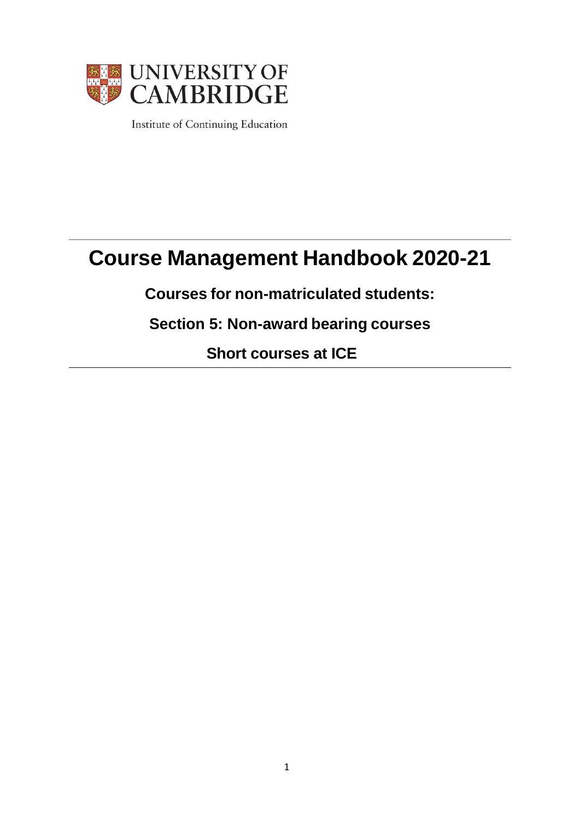

Institute of Continuing Education

# **Course Management Handbook 2020-21**

**Courses for non-matriculated students:**

**Section 5: Non-award bearing courses**

**Short courses at ICE**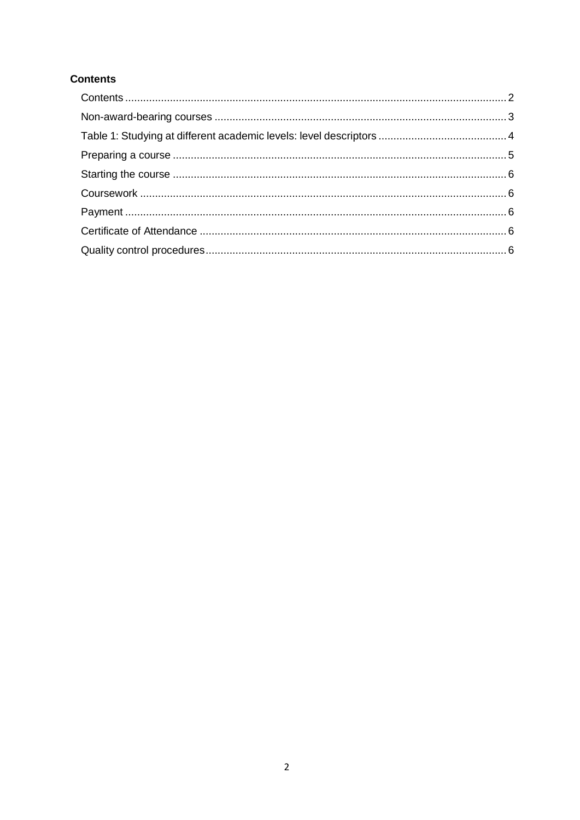#### <span id="page-1-0"></span>**Contents**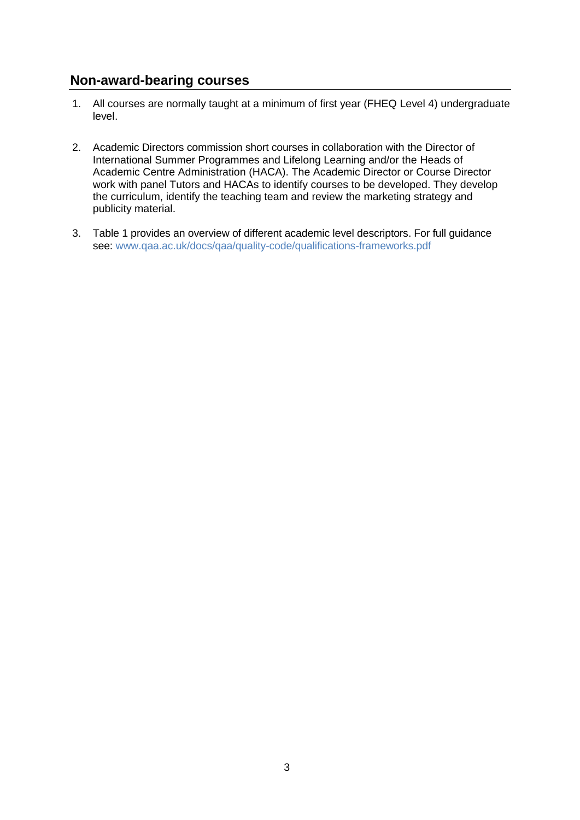#### <span id="page-2-0"></span>**Non-award-bearing courses**

- 1. All courses are normally taught at a minimum of first year (FHEQ Level 4) undergraduate level.
- 2. Academic Directors commission short courses in collaboration with the Director of International Summer Programmes and Lifelong Learning and/or the Heads of Academic Centre Administration (HACA). The Academic Director or Course Director work with panel Tutors and HACAs to identify courses to be developed. They develop the curriculum, identify the teaching team and review the marketing strategy and publicity material.
- 3. Table 1 provides an overview of different academic level descriptors. For full guidance see: [www.qaa.ac.uk/docs/qaa/quality-code/qualifications-frameworks.pdf](https://www.qaa.ac.uk/docs/qaa/quality-code/qualifications-frameworks.pdf)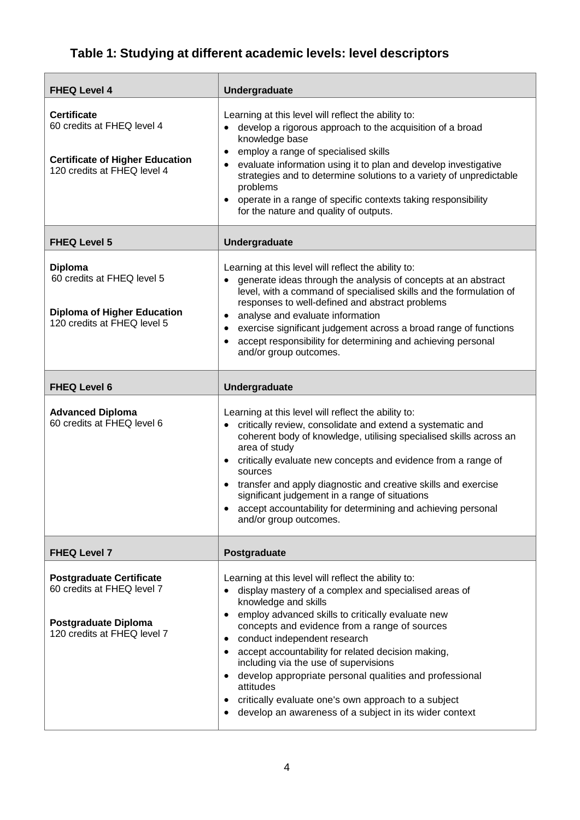# <span id="page-3-0"></span>**Table 1: Studying at different academic levels: level descriptors**

| <b>FHEQ Level 4</b>                                                                                                       | <b>Undergraduate</b>                                                                                                                                                                                                                                                                                                                                                                                                                                                                                                                                                                 |
|---------------------------------------------------------------------------------------------------------------------------|--------------------------------------------------------------------------------------------------------------------------------------------------------------------------------------------------------------------------------------------------------------------------------------------------------------------------------------------------------------------------------------------------------------------------------------------------------------------------------------------------------------------------------------------------------------------------------------|
| <b>Certificate</b><br>60 credits at FHEQ level 4<br><b>Certificate of Higher Education</b><br>120 credits at FHEQ level 4 | Learning at this level will reflect the ability to:<br>develop a rigorous approach to the acquisition of a broad<br>$\bullet$<br>knowledge base<br>employ a range of specialised skills<br>$\bullet$<br>evaluate information using it to plan and develop investigative<br>strategies and to determine solutions to a variety of unpredictable<br>problems<br>operate in a range of specific contexts taking responsibility<br>for the nature and quality of outputs.                                                                                                                |
| <b>FHEQ Level 5</b>                                                                                                       | <b>Undergraduate</b>                                                                                                                                                                                                                                                                                                                                                                                                                                                                                                                                                                 |
| <b>Diploma</b><br>60 credits at FHEQ level 5<br><b>Diploma of Higher Education</b><br>120 credits at FHEQ level 5         | Learning at this level will reflect the ability to:<br>generate ideas through the analysis of concepts at an abstract<br>$\bullet$<br>level, with a command of specialised skills and the formulation of<br>responses to well-defined and abstract problems<br>analyse and evaluate information<br>$\bullet$<br>exercise significant judgement across a broad range of functions<br>accept responsibility for determining and achieving personal<br>and/or group outcomes.                                                                                                           |
| <b>FHEQ Level 6</b>                                                                                                       | Undergraduate                                                                                                                                                                                                                                                                                                                                                                                                                                                                                                                                                                        |
| <b>Advanced Diploma</b><br>60 credits at FHEQ level 6                                                                     | Learning at this level will reflect the ability to:<br>critically review, consolidate and extend a systematic and<br>$\bullet$<br>coherent body of knowledge, utilising specialised skills across an<br>area of study<br>critically evaluate new concepts and evidence from a range of<br>$\bullet$<br>sources<br>transfer and apply diagnostic and creative skills and exercise<br>significant judgement in a range of situations<br>accept accountability for determining and achieving personal<br>and/or group outcomes.                                                         |
| <b>FHEQ Level 7</b>                                                                                                       | Postgraduate                                                                                                                                                                                                                                                                                                                                                                                                                                                                                                                                                                         |
| <b>Postgraduate Certificate</b><br>60 credits at FHEQ level 7<br>Postgraduate Diploma<br>120 credits at FHEQ level 7      | Learning at this level will reflect the ability to:<br>display mastery of a complex and specialised areas of<br>knowledge and skills<br>employ advanced skills to critically evaluate new<br>concepts and evidence from a range of sources<br>conduct independent research<br>٠<br>accept accountability for related decision making,<br>including via the use of supervisions<br>develop appropriate personal qualities and professional<br>attitudes<br>critically evaluate one's own approach to a subject<br>$\bullet$<br>develop an awareness of a subject in its wider context |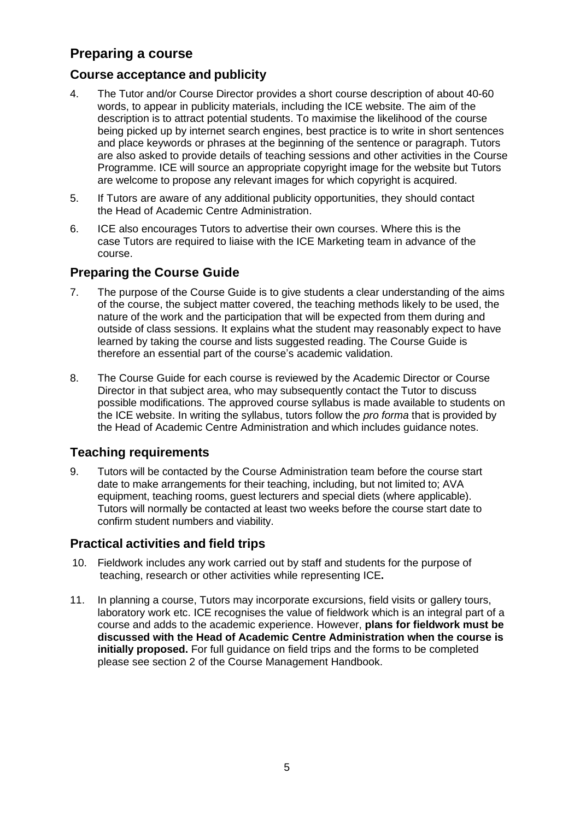# <span id="page-4-0"></span>**Preparing a course**

## **Course acceptance and publicity**

- 4. The Tutor and/or Course Director provides a short course description of about 40-60 words, to appear in publicity materials, including the ICE website. The aim of the description is to attract potential students. To maximise the likelihood of the course being picked up by internet search engines, best practice is to write in short sentences and place keywords or phrases at the beginning of the sentence or paragraph. Tutors are also asked to provide details of teaching sessions and other activities in the Course Programme. ICE will source an appropriate copyright image for the website but Tutors are welcome to propose any relevant images for which copyright is acquired.
- 5. If Tutors are aware of any additional publicity opportunities, they should contact the Head of Academic Centre Administration.
- 6. ICE also encourages Tutors to advertise their own courses. Where this is the case Tutors are required to liaise with the ICE Marketing team in advance of the course.

#### **Preparing the Course Guide**

- 7. The purpose of the Course Guide is to give students a clear understanding of the aims of the course, the subject matter covered, the teaching methods likely to be used, the nature of the work and the participation that will be expected from them during and outside of class sessions. It explains what the student may reasonably expect to have learned by taking the course and lists suggested reading. The Course Guide is therefore an essential part of the course's academic validation.
- 8. The Course Guide for each course is reviewed by the Academic Director or Course Director in that subject area, who may subsequently contact the Tutor to discuss possible modifications. The approved course syllabus is made available to students on the ICE website. In writing the syllabus, tutors follow the *pro forma* that is provided by the Head of Academic Centre Administration and which includes guidance notes.

#### **Teaching requirements**

9. Tutors will be contacted by the Course Administration team before the course start date to make arrangements for their teaching, including, but not limited to; AVA equipment, teaching rooms, guest lecturers and special diets (where applicable). Tutors will normally be contacted at least two weeks before the course start date to confirm student numbers and viability.

#### **Practical activities and field trips**

- 10. Fieldwork includes any work carried out by staff and students for the purpose of teaching, research or other activities while representing ICE**.**
- 11. In planning a course, Tutors may incorporate excursions, field visits or gallery tours, laboratory work etc. ICE recognises the value of fieldwork which is an integral part of a course and adds to the academic experience. However, **plans for fieldwork must be discussed with the Head of Academic Centre Administration when the course is initially proposed.** For full guidance on field trips and the forms to be completed please see section 2 of the Course Management Handbook.